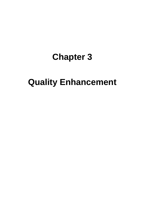# **Chapter 3**

# **Quality Enhancement**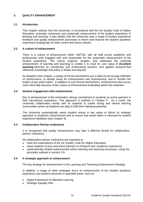## **3. QUALITY ENHANCEMENT**

#### **3.1 Introduction**

This chapter outlines how the University, in accordance with the UK Quality Code of Higher Education, promotes continuous and systematic enhancement of the student experience of learning and teaching. It also details how the University uses a range of student experience feedback and quality enhancement processes to inform and improve the student academic experience strategically for both current and future cohorts.

### **3.2 A culture of enhancement**

There is a culture of enhancement within UWTSD, with all staff across academic and professional units engaged with and responsible for the systematic enhancement of the student experience. This culture supports, enables, and celebrates the continual enhancement of learning and teaching to enable it to meet its core value of *Excellent teaching* informed by *scholarship* and *professional practice*, and *applied research* that influences knowledge and policy in Wales and beyond.

As detailed in this chapter, a variety of formal mechanisms are in place to encourage reflection on performance, to identify areas for enhancement and improvement, and to monitor the impact of any action taken. In addition to such formal mechanisms, enhancement also occurs more informally because of the culture of enhancement embedded within the institution.

#### **3.3 Student engagement with enhancement**

Key to enhancement is the University's strong commitment to students as active partners in their educational experience. This approach is outlined in Chapter 5. As a result, the University collaborates closely with its students to create strong and vibrant learning communities where all students are able to fulfil their individual potential.

The University systematically seeks student voices in key areas to inform its strategic approach to academic enhancement and to ensure that action taken is informed by student experience feedback (see Chapter 5).

#### **3.4 Collaborative Partner institutions**

It is recognised that quality enhancement may take a different format for collaborative partner institutions.

All collaborative partner institutions are expected to:

- meet the expectations of the UK Quality Code for Higher Education;
- value students as key and active partners to enhance their academic experience;
- systematically embed enhancement within learning and teaching processes, using the principles outlined in section 3.9.

#### **3.5 A strategic approach to enhancement**

The key strategy for enhancement is the Learning and Teaching Enhancement Strategy.

In addition, a range of other strategies focus on enhancement of the student academic experience and student outcomes in specified areas, such as:

- Digital Framework for Blended Learning
- Strategic Equality Plan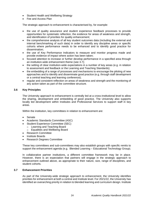- Student Health and Wellbeing Strategy
- Fee and Access Plan

The strategic approach to enhancement is characterised by, for example:

- the use of quality assurance and student experience feedback processes to provide opportunities for systematic reflection, the evidence for areas of weakness and strength, and identification of priorities for quality enhancement;
- the comprehensive analysis of all key student outcomes data (including the external and internal benchmarking of such data) in order to identify any discipline areas or specific cohorts where performance needs to be enhanced and to identify good practice for dissemination;
- the use of Key Performance Indicators to measure and monitor progress made and provide evidence of impact where action has been taken;
- focused attention to increase or further develop performance in a specified area through an institution-wide enhancement theme (see 3.7);
- the setting of clear institution-wide expectations in a number of key areas (e.g. in relation to assessment and feedback or the Learning and Teaching Standards);
- the embedding of a range of processes and mechanisms to encourage the piloting of new approaches and to identify and disseminate good practice (e.g. through staff development or a central teaching and learning conference);
- regular and consistent reflection on areas of weakness and strength and the monitoring of any action taken as part of the committee structure.

## **3.6 Key Principles**

The University approach to enhancement is centrally led at a cross-institutional level to allow the sharing, development and embedding of good practice. The University also supports locally led development within Institutes and Professional Services to support staff in key areas.

Within the institution, key committees in relation to enhancement are:

- Senate
- Academic Standards Committee (ASC)
- Student Experience Committee (SEC)
	- o Learning and Teaching Board
	- o Equalities and Wellbeing Board
- Research Committee
- Institute Boards
- Research Degrees Committee

These key committees and sub-committees may also establish groups with specific remits to support the enhancement agenda (e.g. Blended Learning – Educational Technology Group).

In collaborative partner institutions, a different committee framework may be in place. However, there is an expectation that partners will engage in the strategic approach to enhancement outlined above, as appropriate to their nature, size, range of disciplines, and student cohorts.

#### **3.7 Enhancement Priorities**

As part of the University-wide strategic approach to enhancement, the University identifies priorities for enhancement at both a central and Institute level. For 2021/22, the University has identified an overarching priority in relation to blended learning and curriculum design. Institute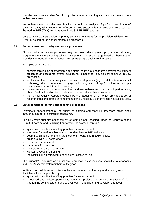priorities are normally identified through the annual monitoring and personal development review processes.

Key enhancement priorities are identified through the analysis of performance, Students' Union Annual Quality Reports, or reflection on key sector-wide concerns or drivers, such as the work of HEFCW, QAA, AdvanceHE, NUS, TEF, REF, and Jisc.

Collaborative partners decide on priority enhancement areas for the provision validated with UWTSD as part of the annual monitoring processes.

#### **3.8 Enhancement and quality assurance processes**

All key quality assurance processes (e.g. curriculum development, programme validation, programme review) embed quality enhancement. The evidence gathered at these stages provides the foundation for a focused and strategic approach to enhancement.

Examples of this include:

- consistent reflection at programme and discipline level of pedagogy, performance, student outcomes and students' overall educational experience (e.g. as part of annual review processes);
- evaluation of sector- or discipline-wide new developments (e.g. in relation to educational technology, developments in pedagogy, or learning space design) to inform or underpin the chosen approach to enhancement;
- the systematic use of external examiners and external readers to benchmark performance, obtain feedback and embed an element of externality to these processes;
- the Annual Quality Report produced by the Students' Union which provides a set of recommendations for the enhancement of the University's performance in a specific area.

#### **3.9 Enhancement of learning and teaching processes**

Systematic enhancement of the quality of learning and teaching processes takes place through a number of different mechanisms.

The University supports enhancement of learning and teaching under the umbrella of the NEXUS Learning and Teaching Framework, for example, through:

- systematic identification of key priorities for enhancement;
- a scheme for staff to achieve an appropriate level of HEA fellowship;
- Learning, Enhancement and Advancement Programme (LEAP) Fellows:
- an annual NEXUS conference:
- Share and Learn events:
- the Aurora Programme;
- the Future Leaders Programme;
- Mentoring/Coaching training;
- the Digital Skills Framework and the Jisc Discovery Tool.

The Students' Union runs an annual award process, which includes recognition of Academic and Non-Academic staff members of the year.

Institutes and collaborative partner institutions enhance the learning and teaching within their disciplines, for example, through:

- systematic identification of key priorities for enhancement;
- a focused and holistic approach to continued professional development for staff (e.g. through the set Institute or subject level teaching and learning development days);